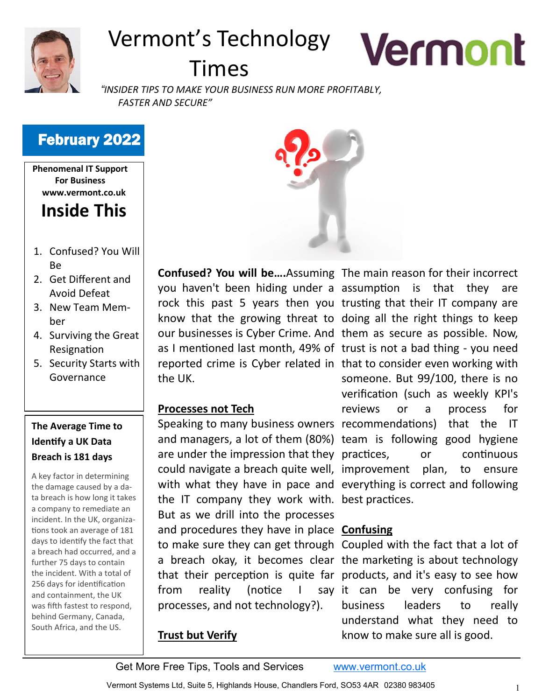

# Vermont's Technology

# Times

*"INSIDER TIPS TO MAKE YOUR BUSINESS RUN MORE PROFITABLY, FASTER AND SECURE"*

# February 2022

**Phenomenal IT Support For Business www.vermont.co.uk**

# **Inside This**

- 1. Confused? You Will Be
- 2. Get Different and Avoid Defeat
- 3. New Team Member
- 4. Surviving the Great Resignation
- 5. Security Starts with Governance

### **The Average Time to Identify a UK Data Breach is 181 days**

A key factor in determining the damage caused by a data breach is how long it takes a company to remediate an incident. In the UK, organizations took an average of 181 days to identify the fact that a breach had occurred, and a further 75 days to contain the incident. With a total of 256 days for identification and containment, the UK was fifth fastest to respond, behind Germany, Canada, South Africa, and the US.



the UK.

#### **Processes not Tech**

the IT company they work with. best practices. But as we drill into the processes and procedures they have in place **Confusing** from reality (notice  $\overline{\phantom{a}}$ processes, and not technology?).

#### **Trust but Verify**

**Confused? You will be….**Assuming The main reason for their incorrect you haven't been hiding under a assumption is that they are rock this past 5 years then you trusting that their IT company are know that the growing threat to doing all the right things to keep our businesses is Cyber Crime. And them as secure as possible. Now, as I mentioned last month, 49% of trust is not a bad thing - you need reported crime is Cyber related in that to consider even working with Speaking to many business owners recommendations) that the IT and managers, a lot of them (80%) team is following good hygiene are under the impression that they practices, or continuous could navigate a breach quite well, improvement plan, to ensure with what they have in pace and everything is correct and following someone. But 99/100, there is no verification (such as weekly KPI's reviews or a process for

**Vermont** 

to make sure they can get through Coupled with the fact that a lot of a breach okay, it becomes clear the marketing is about technology that their perception is quite far products, and it's easy to see how say it can be very confusing for business leaders to really understand what they need to know to make sure all is good.

Get More Free Tips, Tools and Services [www.vermont.co.uk](http://www.vermont.co.uk)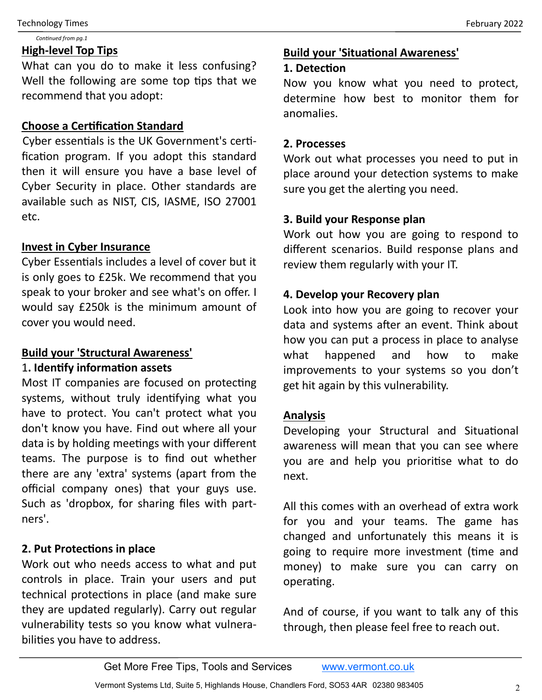#### *Continued from pg.1*

#### **High-level Top Tips**

What can you do to make it less confusing? Well the following are some top tips that we recommend that you adopt:

#### **Choose a Certification Standard**

Cyber essentials is the UK Government's certification program. If you adopt this standard then it will ensure you have a base level of Cyber Security in place. Other standards are available such as NIST, CIS, IASME, ISO 27001 etc.

#### **Invest in Cyber Insurance**

Cyber Essentials includes a level of cover but it is only goes to £25k. We recommend that you speak to your broker and see what's on offer. I would say £250k is the minimum amount of cover you would need.

#### **Build your 'Structural Awareness'**

#### 1**. Identify information assets**

Most IT companies are focused on protecting systems, without truly identifying what you have to protect. You can't protect what you don't know you have. Find out where all your data is by holding meetings with your different teams. The purpose is to find out whether there are any 'extra' systems (apart from the official company ones) that your guys use. Such as 'dropbox, for sharing files with partners'.

#### **2. Put Protections in place**

Work out who needs access to what and put controls in place. Train your users and put technical protections in place (and make sure they are updated regularly). Carry out regular vulnerability tests so you know what vulnerabilities you have to address.

#### **Build your 'Situational Awareness'**

#### **1. Detection**

Now you know what you need to protect, determine how best to monitor them for anomalies.

#### **2. Processes**

Work out what processes you need to put in place around your detection systems to make sure you get the alerting you need.

#### **3. Build your Response plan**

Work out how you are going to respond to different scenarios. Build response plans and review them regularly with your IT.

#### **4. Develop your Recovery plan**

Look into how you are going to recover your data and systems after an event. Think about how you can put a process in place to analyse what happened and how to make improvements to your systems so you don't get hit again by this vulnerability.

#### **Analysis**

Developing your Structural and Situational awareness will mean that you can see where you are and help you prioritise what to do next.

All this comes with an overhead of extra work for you and your teams. The game has changed and unfortunately this means it is going to require more investment (time and money) to make sure you can carry on operating.

And of course, if you want to talk any of this through, then please feel free to reach out.

Get More Free Tips, Tools and Services [www.vermont.co.uk](http://www.vermont.co.uk)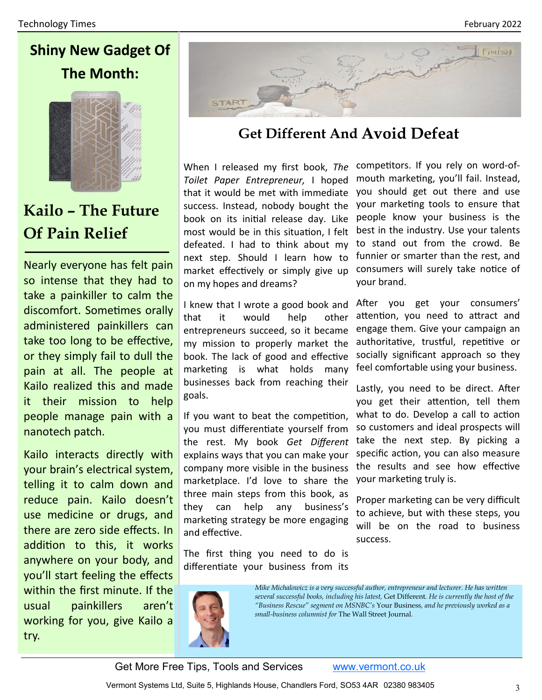



**Kailo – The Future Of Pain Relief**

Nearly everyone has felt pain so intense that they had to take a painkiller to calm the discomfort. Sometimes orally administered painkillers can take too long to be effective, or they simply fail to dull the pain at all. The people at Kailo realized this and made it their mission to help people manage pain with a nanotech patch.

Kailo interacts directly with your brain's electrical system, telling it to calm down and reduce pain. Kailo doesn't use medicine or drugs, and there are zero side effects. In addition to this, it works anywhere on your body, and you'll start feeling the effects within the first minute. If the usual painkillers aren't working for you, give Kailo a try.



# **Get Different And Avoid Defeat**

When I released my first book, *The Toilet Paper Entrepreneur,* I hoped that it would be met with immediate success. Instead, nobody bought the book on its initial release day. Like most would be in this situation, I felt defeated. I had to think about my next step. Should I learn how to market effectively or simply give up on my hopes and dreams?

I knew that I wrote a good book and that it would help other entrepreneurs succeed, so it became my mission to properly market the book. The lack of good and effective marketing is what holds many businesses back from reaching their goals.

If you want to beat the competition, you must differentiate yourself from the rest. My book *Get Different*  explains ways that you can make your company more visible in the business marketplace. I'd love to share the three main steps from this book, as they can help any business's marketing strategy be more engaging and effective.

The first thing you need to do is differentiate your business from its competitors. If you rely on word-ofmouth marketing, you'll fail. Instead, you should get out there and use your marketing tools to ensure that people know your business is the best in the industry. Use your talents to stand out from the crowd. Be funnier or smarter than the rest, and consumers will surely take notice of your brand.

After you get your consumers' attention, you need to attract and engage them. Give your campaign an authoritative, trustful, repetitive or socially significant approach so they feel comfortable using your business.

Lastly, you need to be direct. After you get their attention, tell them what to do. Develop a call to action so customers and ideal prospects will take the next step. By picking a specific action, you can also measure the results and see how effective your marketing truly is.

Proper marketing can be very difficult to achieve, but with these steps, you will be on the road to business success.



*Mike Michalowicz is a very successful author, entrepreneur and lecturer. He has written several successful books, including his latest,* Get Different*. He is currently the host of the "Business Rescue" segment on MSNBC's* Your Business*, and he previously worked as a small-business columnist for* The Wall Street Journal*.*

Get More Free Tips, Tools and Services [www.vermont.co.uk](http://www.vermont.co.uk)